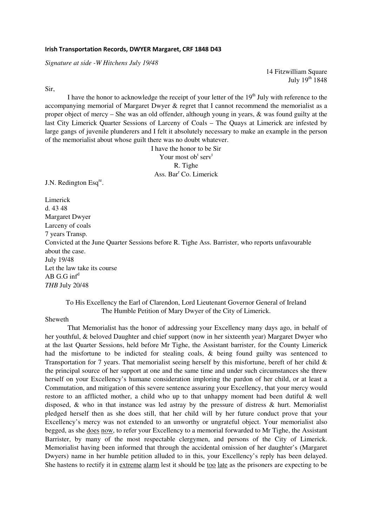#### **Irish Transportation Records, DWYER Margaret, CRF 1848 D43**

*Signature at side -W Hitchens July 19/48* 

14 Fitzwilliam Square July  $19^{th}$  1848

Sir,

I have the honor to acknowledge the receipt of your letter of the  $19<sup>th</sup>$  July with reference to the accompanying memorial of Margaret Dwyer & regret that I cannot recommend the memorialist as a proper object of mercy – She was an old offender, although young in years, & was found guilty at the last City Limerick Quarter Sessions of Larceny of Coals – The Quays at Limerick are infested by large gangs of juvenile plunderers and I felt it absolutely necessary to make an example in the person of the memorialist about whose guilt there was no doubt whatever.

> I have the honor to be Sir Your most ob<sup>t</sup> serv<sup>t</sup> R. Tighe Ass. Bar<sup>r</sup> Co. Limerick

J.N. Redington Esq<sup>re</sup>.

Limerick d. 43 48 Margaret Dwyer Larceny of coals 7 years Transp. Convicted at the June Quarter Sessions before R. Tighe Ass. Barrister, who reports unfavourable about the case. July 19/48 Let the law take its course AB G.G inf<sup>d</sup> *THB* July 20/48

### To His Excellency the Earl of Clarendon, Lord Lieutenant Governor General of Ireland The Humble Petition of Mary Dwyer of the City of Limerick.

Sheweth

 That Memorialist has the honor of addressing your Excellency many days ago, in behalf of her youthful, & beloved Daughter and chief support (now in her sixteenth year) Margaret Dwyer who at the last Quarter Sessions, held before Mr Tighe, the Assistant barrister, for the County Limerick had the misfortune to be indicted for stealing coals, & being found guilty was sentenced to Transportation for 7 years. That memorialist seeing herself by this misfortune, bereft of her child & the principal source of her support at one and the same time and under such circumstances she threw herself on your Excellency's humane consideration imploring the pardon of her child, or at least a Commutation, and mitigation of this severe sentence assuring your Excellency, that your mercy would restore to an afflicted mother, a child who up to that unhappy moment had been dutiful & well disposed, & who in that instance was led astray by the pressure of distress & hurt. Memorialist pledged herself then as she does still, that her child will by her future conduct prove that your Excellency's mercy was not extended to an unworthy or ungrateful object. Your memorialist also begged, as she does now, to refer your Excellency to a memorial forwarded to Mr Tighe, the Assistant Barrister, by many of the most respectable clergymen, and persons of the City of Limerick. Memorialist having been informed that through the accidental omission of her daughter's (Margaret Dwyers) name in her humble petition alluded to in this, your Excellency's reply has been delayed. She hastens to rectify it in extreme alarm lest it should be too late as the prisoners are expecting to be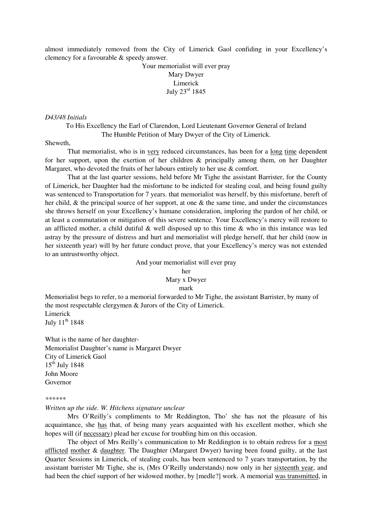almost immediately removed from the City of Limerick Gaol confiding in your Excellency's clemency for a favourable & speedy answer.

## Your memorialist will ever pray Mary Dwyer Limerick July 23rd 1845

#### *D43/48 Initials*

To His Excellency the Earl of Clarendon, Lord Lieutenant Governor General of Ireland The Humble Petition of Mary Dwyer of the City of Limerick.

#### Sheweth,

That memorialist, who is in <u>very</u> reduced circumstances, has been for a <u>long time</u> dependent for her support, upon the exertion of her children & principally among them, on her Daughter Margaret, who devoted the fruits of her labours entirely to her use & comfort.

 That at the last quarter sessions, held before Mr Tighe the assistant Barrister, for the County of Limerick, her Daughter had the misfortune to be indicted for stealing coal, and being found guilty was sentenced to Transportation for 7 years. that memorialist was herself, by this misfortune, bereft of her child, & the principal source of her support, at one & the same time, and under the circumstances she throws herself on your Excellency's humane consideration, imploring the pardon of her child, or at least a commutation or mitigation of this severe sentence. Your Excellency's mercy will restore to an afflicted mother, a child dutiful & well disposed up to this time & who in this instance was led astray by the pressure of distress and hurt and memorialist will pledge herself, that her child (now in her sixteenth year) will by her future conduct prove, that your Excellency's mercy was not extended to an untrustworthy object.

And your memorialist will ever pray

her

# Mary x Dwyer

mark

Memorialist begs to refer, to a memorial forwarded to Mr Tighe, the assistant Barrister, by many of the most respectable clergymen & Jurors of the City of Limerick. Limerick July 11<sup>th</sup> 1848

What is the name of her daughter-Memorialist Daughter's name is Margaret Dwyer City of Limerick Gaol  $15^{th}$  July 1848 John Moore Governor

#### *\*\*\*\*\*\**

## *Written up the side. W. Hitchens signature unclear*

Mrs O'Reilly's compliments to Mr Reddington, Tho' she has not the pleasure of his acquaintance, she has that, of being many years acquainted with his excellent mother, which she hopes will (if necessary) plead her excuse for troubling him on this occasion.

The object of Mrs Reilly's communication to Mr Reddington is to obtain redress for a most afflicted mother & daughter. The Daughter (Margaret Dwyer) having been found guilty, at the last Quarter Sessions in Limerick, of stealing coals, has been sentenced to 7 years transportation, by the assistant barrister Mr Tighe, she is, (Mrs O'Reilly understands) now only in her sixteenth year, and had been the chief support of her widowed mother, by [medle?] work. A memorial was transmitted, in